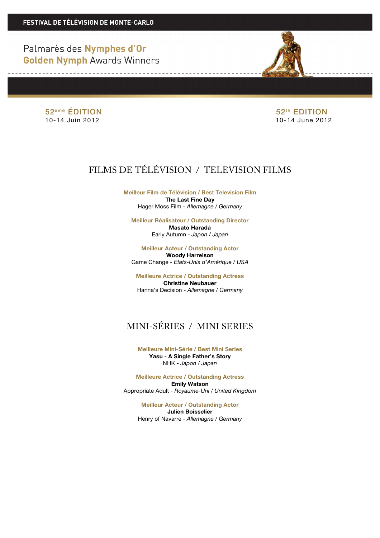> 52<sup>ème</sup> ÉDITION 52<sup>ème</sup> ÉDITION 10-14 Juin 2012 10-14 June 2012

# FILMS DE TÉLÉVISION / TELEVISION FILMS

**Meilleur Film de Télévision / Best Television Film The Last Fine Day** Hager Moss Film - *Allemagne / Germany*

**Meilleur Réalisateur / Outstanding Director Masato Harada** Early Autumn - *Japon / Japan*

**Meilleur Acteur / Outstanding Actor Woody Harrelson** Game Change - *Etats-Unis d'Amérique / USA*

**Meilleure Actrice / Outstanding Actress Christine Neubauer** Hanna's Decision - *Allemagne / Germany*

## MINI-SÉRIES / MINI SERIES

**Meilleure Mini-Série / Best Mini Series Yasu - A Single Father's Story** NHK - *Japon / Japan*

**Meilleure Actrice / Outstanding Actress Emily Watson** Appropriate Adult - *Royaume-Uni / United Kingdom*

> **Meilleur Acteur / Outstanding Actor Julien Boisselier** Henry of Navarre - *Allemagne / Germany*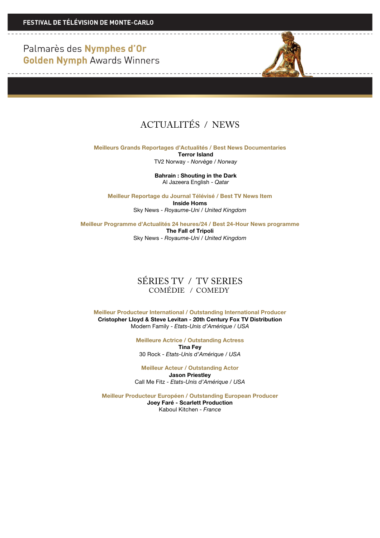# ACTUALITÉS / NEWS

**Meilleurs Grands Reportages d'Actualités / Best News Documentaries Terror Island**

TV2 Norway *- Norvège / Norway*

**Bahrain : Shouting in the Dark** Al Jazeera English - *Qatar*

**Meilleur Reportage du Journal Télévisé / Best TV News Item Inside Homs** Sky News - *Royaume-Uni / United Kingdom*

**Meilleur Programme d'Actualités 24 heures/24 / Best 24-Hour News programme The Fall of Tripoli** Sky News - *Royaume-Uni / United Kingdom*

#### SÉRIES TV / TV SERIES COMÉDIE / COMEDY

**Meilleur Producteur International / Outstanding International Producer Cristopher Lloyd & Steve Levitan - 20th Century Fox TV Distribution** Modern Family - *Etats-Unis d'Amérique / USA*

> **Meilleure Actrice / Outstanding Actress Tina Fey** 30 Rock - *Etats-Unis d'Amérique / USA*

**Meilleur Acteur / Outstanding Actor Jason Priestley** Call Me Fitz - *Etats-Unis d'Amérique / USA*

**Meilleur Producteur Européen / Outstanding European Producer Joey Faré - Scarlett Production** Kaboul Kitchen - *France*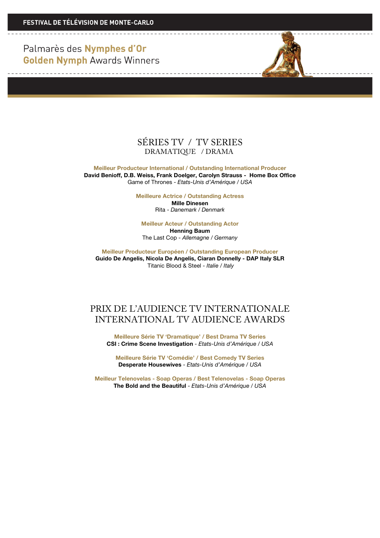--------------------------------



#### SÉRIES TV / TV SERIES DRAMATIQUE / DRAMA

**Meilleur Producteur International / Outstanding International Producer David Benioff, D.B. Weiss, Frank Doelger, Carolyn Strauss - Home Box Office** Game of Thrones - *Etats-Unis d'Amérique / USA*

**Meilleure Actrice / Outstanding Actress**

**Mille Dinesen** Rita - *Danemark / Denmark*

**Meilleur Acteur / Outstanding Actor Henning Baum** The Last Cop - *Allemagne / Germany*

**Meilleur Producteur Européen / Outstanding European Producer Guido De Angelis, Nicola De Angelis, Ciaran Donnelly - DAP Italy SLR** Titanic Blood & Steel - *Italie / Italy*

### PRIX DE L'AUDIENCE TV INTERNATIONALE INTERNATIONAL TV AUDIENCE AWARDS

**Meilleure Série TV 'Dramatique' / Best Drama TV Series CSI : Crime Scene Investigation** - *Etats-Unis d'Amérique / USA*

**Meilleure Série TV 'Comédie' / Best Comedy TV Series Desperate Housewives** - *Etats-Unis d'Amérique / USA*

**Meilleur Telenovelas - Soap Operas / Best Telenovelas - Soap Operas The Bold and the Beautiful** - *Etats-Unis d'Amérique / USA*